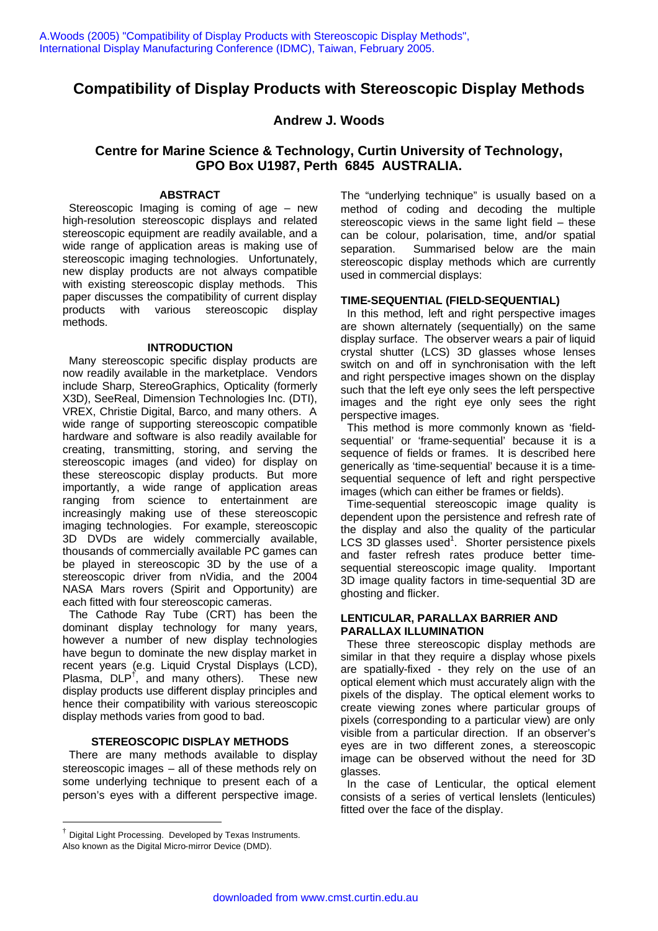# **Compatibility of Display Products with Stereoscopic Display Methods**

# **Andrew J. Woods**

# **Centre for Marine Science & Technology, Curtin University of Technology, GPO Box U1987, Perth 6845 AUSTRALIA.**

### **ABSTRACT**

 Stereoscopic Imaging is coming of age – new high-resolution stereoscopic displays and related stereoscopic equipment are readily available, and a wide range of application areas is making use of stereoscopic imaging technologies. Unfortunately, new display products are not always compatible with existing stereoscopic display methods. This paper discusses the compatibility of current display products with various stereoscopic display methods.

### **INTRODUCTION**

 Many stereoscopic specific display products are now readily available in the marketplace. Vendors include Sharp, StereoGraphics, Opticality (formerly X3D), SeeReal, Dimension Technologies Inc. (DTI), VREX, Christie Digital, Barco, and many others. A wide range of supporting stereoscopic compatible hardware and software is also readily available for creating, transmitting, storing, and serving the stereoscopic images (and video) for display on these stereoscopic display products. But more importantly, a wide range of application areas ranging from science to entertainment are increasingly making use of these stereoscopic imaging technologies. For example, stereoscopic 3D DVDs are widely commercially available, thousands of commercially available PC games can be played in stereoscopic 3D by the use of a stereoscopic driver from nVidia, and the 2004 NASA Mars rovers (Spirit and Opportunity) are each fitted with four stereoscopic cameras.

 The Cathode Ray Tube (CRT) has been the dominant display technology for many years, however a number of new display technologies have begun to dominate the new display market in recent years (e.g. Liquid Crystal Displays (LCD), Plasma, DLP<sup>†</sup>, and many others). These new display products use different display principles and hence their compatibility with various stereoscopic display methods varies from good to bad.

### **STEREOSCOPIC DISPLAY METHODS**

 There are many methods available to display stereoscopic images – all of these methods rely on some underlying technique to present each of a person's eyes with a different perspective image.

 $\overline{a}$ 

The "underlying technique" is usually based on a method of coding and decoding the multiple stereoscopic views in the same light field – these can be colour, polarisation, time, and/or spatial separation. Summarised below are the main stereoscopic display methods which are currently used in commercial displays:

### **TIME-SEQUENTIAL (FIELD-SEQUENTIAL)**

 In this method, left and right perspective images are shown alternately (sequentially) on the same display surface. The observer wears a pair of liquid crystal shutter (LCS) 3D glasses whose lenses switch on and off in synchronisation with the left and right perspective images shown on the display such that the left eye only sees the left perspective images and the right eye only sees the right perspective images.

 This method is more commonly known as 'fieldsequential' or 'frame-sequential' because it is a sequence of fields or frames. It is described here generically as 'time-sequential' because it is a timesequential sequence of left and right perspective images (which can either be frames or fields).

 Time-sequential stereoscopic image quality is dependent upon the persistence and refresh rate of the display and also the quality of the particular LCS 3D glasses used<sup>1</sup>. Shorter persistence pixels and faster refresh rates produce better timesequential stereoscopic image quality. Important 3D image quality factors in time-sequential 3D are ghosting and flicker.

### **LENTICULAR, PARALLAX BARRIER AND PARALLAX ILLUMINATION**

 These three stereoscopic display methods are similar in that they require a display whose pixels are spatially-fixed - they rely on the use of an optical element which must accurately align with the pixels of the display. The optical element works to create viewing zones where particular groups of pixels (corresponding to a particular view) are only visible from a particular direction. If an observer's eyes are in two different zones, a stereoscopic image can be observed without the need for 3D glasses.

 In the case of Lenticular, the optical element consists of a series of vertical lenslets (lenticules) fitted over the face of the display.

<sup>†</sup> Digital Light Processing. Developed by Texas Instruments. Also known as the Digital Micro-mirror Device (DMD).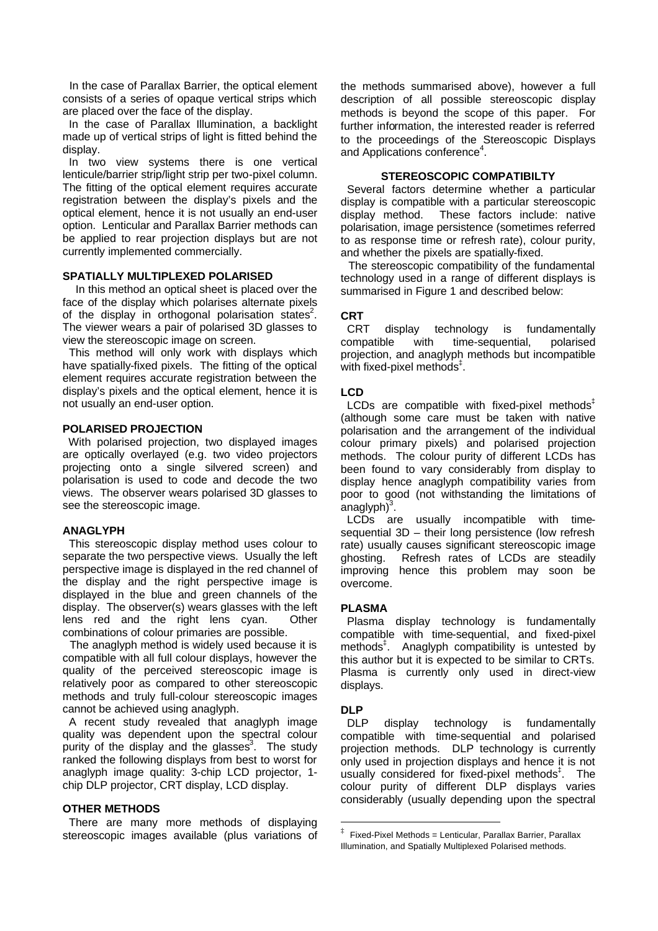In the case of Parallax Barrier, the optical element consists of a series of opaque vertical strips which are placed over the face of the display.

 In the case of Parallax Illumination, a backlight made up of vertical strips of light is fitted behind the display.

 In two view systems there is one vertical lenticule/barrier strip/light strip per two-pixel column. The fitting of the optical element requires accurate registration between the display's pixels and the optical element, hence it is not usually an end-user option. Lenticular and Parallax Barrier methods can be applied to rear projection displays but are not currently implemented commercially.

#### **SPATIALLY MULTIPLEXED POLARISED**

 In this method an optical sheet is placed over the face of the display which polarises alternate pixels of the display in orthogonal polarisation states<sup>2</sup>. The viewer wears a pair of polarised 3D glasses to view the stereoscopic image on screen.

 This method will only work with displays which have spatially-fixed pixels. The fitting of the optical element requires accurate registration between the display's pixels and the optical element, hence it is not usually an end-user option.

### **POLARISED PROJECTION**

 With polarised projection, two displayed images are optically overlayed (e.g. two video projectors projecting onto a single silvered screen) and polarisation is used to code and decode the two views. The observer wears polarised 3D glasses to see the stereoscopic image.

#### **ANAGLYPH**

 This stereoscopic display method uses colour to separate the two perspective views. Usually the left perspective image is displayed in the red channel of the display and the right perspective image is displayed in the blue and green channels of the display. The observer(s) wears glasses with the left lens red and the right lens cyan. Other combinations of colour primaries are possible.

 The anaglyph method is widely used because it is compatible with all full colour displays, however the quality of the perceived stereoscopic image is relatively poor as compared to other stereoscopic methods and truly full-colour stereoscopic images cannot be achieved using anaglyph.

 A recent study revealed that anaglyph image quality was dependent upon the spectral colour purity of the display and the glasses<sup>3</sup>. The study ranked the following displays from best to worst for anaglyph image quality: 3-chip LCD projector, 1 chip DLP projector, CRT display, LCD display.

#### **OTHER METHODS**

 There are many more methods of displaying stereoscopic images available (plus variations of the methods summarised above), however a full description of all possible stereoscopic display methods is beyond the scope of this paper. For further information, the interested reader is referred to the proceedings of the Stereoscopic Displays and Applications conference<sup>4</sup>.

### **STEREOSCOPIC COMPATIBILTY**

 Several factors determine whether a particular display is compatible with a particular stereoscopic display method. These factors include: native polarisation, image persistence (sometimes referred to as response time or refresh rate), colour purity, and whether the pixels are spatially-fixed.

 The stereoscopic compatibility of the fundamental technology used in a range of different displays is summarised in Figure 1 and described below:

#### **CRT**

 CRT display technology is fundamentally compatible with time-sequential, polarised projection, and anaglyph methods but incompatible with fixed-pixel methods‡ .

#### **LCD**

LCDs are compatible with fixed-pixel methods $<sup>‡</sup>$ </sup> (although some care must be taken with native polarisation and the arrangement of the individual colour primary pixels) and polarised projection methods. The colour purity of different LCDs has been found to vary considerably from display to display hence anaglyph compatibility varies from poor to good (not withstanding the limitations of .<br>anaglyph)<sup>3</sup>.

 LCDs are usually incompatible with timesequential 3D – their long persistence (low refresh rate) usually causes significant stereoscopic image ghosting. Refresh rates of LCDs are steadily improving hence this problem may soon be overcome.

### **PLASMA**

 Plasma display technology is fundamentally compatible with time-sequential, and fixed-pixel methods<sup>‡</sup>. Anaglyph compatibility is untested by this author but it is expected to be similar to CRTs. Plasma is currently only used in direct-view displays.

### **DLP**

 $\overline{a}$ 

DLP display technology is fundamentally compatible with time-sequential and polarised projection methods. DLP technology is currently only used in projection displays and hence it is not usually considered for fixed-pixel methods<sup>#</sup>. The colour purity of different DLP displays varies considerably (usually depending upon the spectral

<sup>‡</sup> Fixed-Pixel Methods = Lenticular, Parallax Barrier, Parallax Illumination, and Spatially Multiplexed Polarised methods.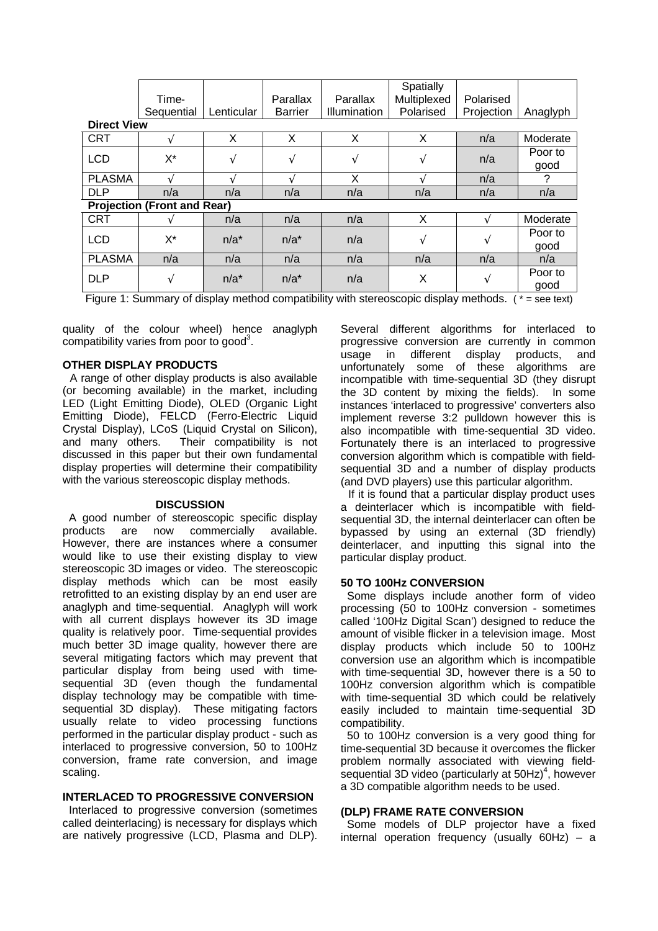|                                    | Time-      |               | Parallax       | Parallax     | <b>Spatially</b><br>Multiplexed | Polarised  |          |
|------------------------------------|------------|---------------|----------------|--------------|---------------------------------|------------|----------|
|                                    | Sequential | Lenticular    | <b>Barrier</b> | Illumination | Polarised                       | Projection | Anaglyph |
| <b>Direct View</b>                 |            |               |                |              |                                 |            |          |
| <b>CRT</b>                         |            | X             | X              | X            | X                               | n/a        | Moderate |
| <b>LCD</b>                         | X*         | V             | $\sqrt{ }$     | V            | V                               | n/a        | Poor to  |
|                                    |            |               |                |              |                                 |            | good     |
| <b>PLASMA</b>                      | $\sim$     | $\mathcal{L}$ |                | X            |                                 | n/a        | ?        |
| <b>DLP</b>                         | n/a        | n/a           | n/a            | n/a          | n/a                             | n/a        | n/a      |
| <b>Projection (Front and Rear)</b> |            |               |                |              |                                 |            |          |
| <b>CRT</b>                         |            | n/a           | n/a            | n/a          | X                               | N          | Moderate |
| <b>LCD</b>                         | $X^*$      | $n/a^*$       | $n/a^*$        | n/a          | V                               | V          | Poor to  |
|                                    |            |               |                |              |                                 |            | good     |
| <b>PLASMA</b>                      | n/a        | n/a           | n/a            | n/a          | n/a                             | n/a        | n/a      |
| <b>DLP</b>                         | V          | $n/a^*$       | $n/a^*$        | n/a          | X                               | V          | Poor to  |
|                                    |            |               |                |              |                                 |            | good     |

Figure 1: Summary of display method compatibility with stereoscopic display methods.  $(* = see text)$ 

quality of the colour wheel) hence anaglyph compatibility varies from poor to good<sup>3</sup>.

### **OTHER DISPLAY PRODUCTS**

 A range of other display products is also available (or becoming available) in the market, including LED (Light Emitting Diode), OLED (Organic Light Emitting Diode), FELCD (Ferro-Electric Liquid Crystal Display), LCoS (Liquid Crystal on Silicon), and many others. Their compatibility is not discussed in this paper but their own fundamental display properties will determine their compatibility with the various stereoscopic display methods.

### **DISCUSSION**

 A good number of stereoscopic specific display products are now commercially available. However, there are instances where a consumer would like to use their existing display to view stereoscopic 3D images or video. The stereoscopic display methods which can be most easily retrofitted to an existing display by an end user are anaglyph and time-sequential. Anaglyph will work with all current displays however its 3D image quality is relatively poor. Time-sequential provides much better 3D image quality, however there are several mitigating factors which may prevent that particular display from being used with timesequential 3D (even though the fundamental display technology may be compatible with timesequential 3D display). These mitigating factors usually relate to video processing functions performed in the particular display product - such as interlaced to progressive conversion, 50 to 100Hz conversion, frame rate conversion, and image scaling.

### **INTERLACED TO PROGRESSIVE CONVERSION**

 Interlaced to progressive conversion (sometimes called deinterlacing) is necessary for displays which are natively progressive (LCD, Plasma and DLP).

Several different algorithms for interlaced to progressive conversion are currently in common usage in different display products, and unfortunately some of these algorithms are incompatible with time-sequential 3D (they disrupt the 3D content by mixing the fields). In some instances 'interlaced to progressive' converters also implement reverse 3:2 pulldown however this is also incompatible with time-sequential 3D video. Fortunately there is an interlaced to progressive conversion algorithm which is compatible with fieldsequential 3D and a number of display products (and DVD players) use this particular algorithm.

 If it is found that a particular display product uses a deinterlacer which is incompatible with fieldsequential 3D, the internal deinterlacer can often be bypassed by using an external (3D friendly) deinterlacer, and inputting this signal into the particular display product.

### **50 TO 100Hz CONVERSION**

 Some displays include another form of video processing (50 to 100Hz conversion - sometimes called '100Hz Digital Scan') designed to reduce the amount of visible flicker in a television image. Most display products which include 50 to 100Hz conversion use an algorithm which is incompatible with time-sequential 3D, however there is a 50 to 100Hz conversion algorithm which is compatible with time-sequential 3D which could be relatively easily included to maintain time-sequential 3D compatibility.

 50 to 100Hz conversion is a very good thing for time-sequential 3D because it overcomes the flicker problem normally associated with viewing fieldsequential 3D video (particularly at 50Hz) $4$ , however a 3D compatible algorithm needs to be used.

### **(DLP) FRAME RATE CONVERSION**

 Some models of DLP projector have a fixed internal operation frequency (usually 60Hz) – a